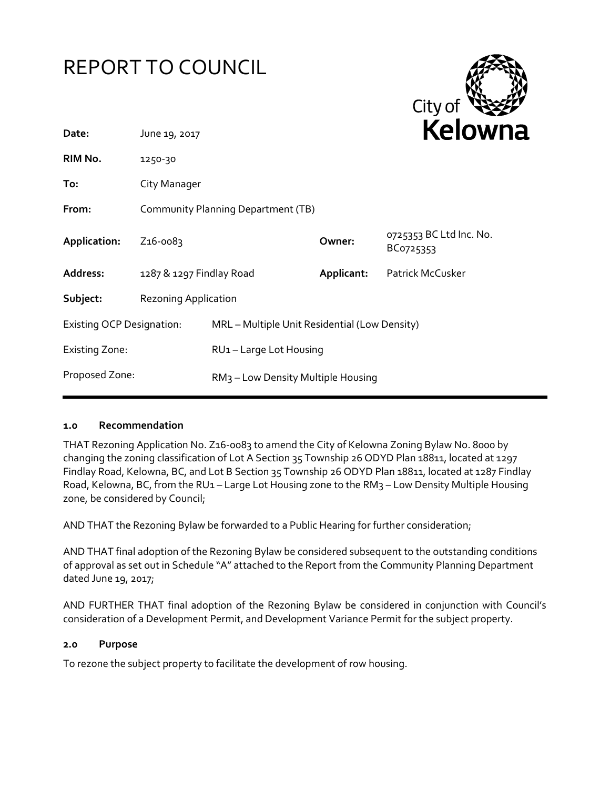



| June 19, 2017                                                    |                                               |                                                         | <b>NEIUWH</b>                                               |
|------------------------------------------------------------------|-----------------------------------------------|---------------------------------------------------------|-------------------------------------------------------------|
| 1250-30                                                          |                                               |                                                         |                                                             |
| City Manager                                                     |                                               |                                                         |                                                             |
|                                                                  |                                               |                                                         |                                                             |
| Z <sub>16</sub> -0083                                            |                                               | Owner:                                                  | 0725353 BC Ltd Inc. No.<br>BC0725353                        |
|                                                                  |                                               | Applicant:                                              | <b>Patrick McCusker</b>                                     |
|                                                                  |                                               |                                                         |                                                             |
| <b>Existing OCP Designation:</b>                                 | MRL - Multiple Unit Residential (Low Density) |                                                         |                                                             |
|                                                                  |                                               |                                                         |                                                             |
| Proposed Zone:<br>RM <sub>3</sub> – Low Density Multiple Housing |                                               |                                                         |                                                             |
|                                                                  |                                               | 1287 & 1297 Findlay Road<br><b>Rezoning Application</b> | Community Planning Department (TB)<br>RU1-Large Lot Housing |

#### **1.0 Recommendation**

THAT Rezoning Application No. Z16-0083 to amend the City of Kelowna Zoning Bylaw No. 8000 by changing the zoning classification of Lot A Section 35 Township 26 ODYD Plan 18811, located at 1297 Findlay Road, Kelowna, BC, and Lot B Section 35 Township 26 ODYD Plan 18811, located at 1287 Findlay Road, Kelowna, BC, from the RU1 - Large Lot Housing zone to the RM3 - Low Density Multiple Housing zone, be considered by Council;

AND THAT the Rezoning Bylaw be forwarded to a Public Hearing for further consideration;

AND THAT final adoption of the Rezoning Bylaw be considered subsequent to the outstanding conditions of approval as set out in Schedule "A" attached to the Report from the Community Planning Department dated June 19, 2017;

AND FURTHER THAT final adoption of the Rezoning Bylaw be considered in conjunction with Council's consideration of a Development Permit, and Development Variance Permit for the subject property.

#### **2.0 Purpose**

To rezone the subject property to facilitate the development of row housing.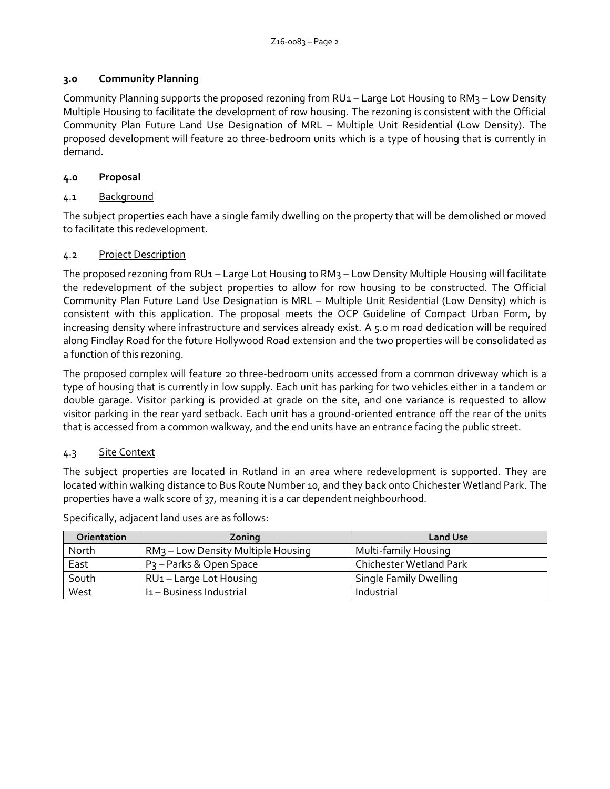# **3.0 Community Planning**

Community Planning supports the proposed rezoning from RU1 – Large Lot Housing to RM3 – Low Density Multiple Housing to facilitate the development of row housing. The rezoning is consistent with the Official Community Plan Future Land Use Designation of MRL – Multiple Unit Residential (Low Density). The proposed development will feature 20 three-bedroom units which is a type of housing that is currently in demand.

# **4.0 Proposal**

# 4.1 Background

The subject properties each have a single family dwelling on the property that will be demolished or moved to facilitate this redevelopment.

#### 4.2 Project Description

The proposed rezoning from RU1 - Large Lot Housing to RM3 - Low Density Multiple Housing will facilitate the redevelopment of the subject properties to allow for row housing to be constructed. The Official Community Plan Future Land Use Designation is MRL – Multiple Unit Residential (Low Density) which is consistent with this application. The proposal meets the OCP Guideline of Compact Urban Form, by increasing density where infrastructure and services already exist. A 5.0 m road dedication will be required along Findlay Road for the future Hollywood Road extension and the two properties will be consolidated as a function of this rezoning.

The proposed complex will feature 20 three-bedroom units accessed from a common driveway which is a type of housing that is currently in low supply. Each unit has parking for two vehicles either in a tandem or double garage. Visitor parking is provided at grade on the site, and one variance is requested to allow visitor parking in the rear yard setback. Each unit has a ground-oriented entrance off the rear of the units that is accessed from a common walkway, and the end units have an entrance facing the public street.

# 4.3 Site Context

The subject properties are located in Rutland in an area where redevelopment is supported. They are located within walking distance to Bus Route Number 10, and they back onto Chichester Wetland Park. The properties have a walk score of 37, meaning it is a car dependent neighbourhood.

| <b>Orientation</b> | Zoning                                         | <b>Land Use</b>               |
|--------------------|------------------------------------------------|-------------------------------|
| North              | RM <sub>3</sub> – Low Density Multiple Housing | Multi-family Housing          |
| East               | P <sub>3</sub> – Parks & Open Space            | Chichester Wetland Park       |
| South              | RU1-Large Lot Housing                          | <b>Single Family Dwelling</b> |
| West               | I <sub>1</sub> - Business Industrial           | Industrial                    |

Specifically, adjacent land uses are as follows: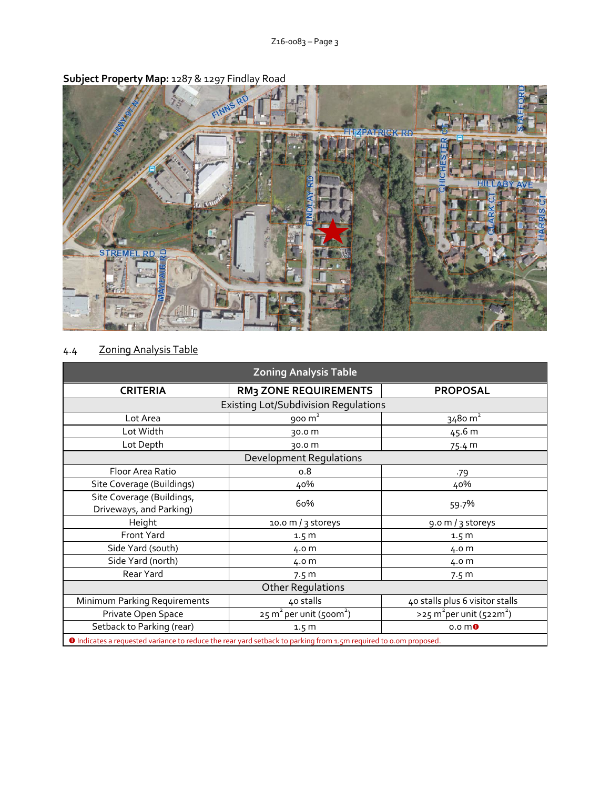

# **Subject Property Map:** 1287 & 1297 Findlay Road

# 4.4 Zoning Analysis Table

| <b>Zoning Analysis Table</b>                                                                                     |                                                |                                                     |  |  |
|------------------------------------------------------------------------------------------------------------------|------------------------------------------------|-----------------------------------------------------|--|--|
| <b>CRITERIA</b>                                                                                                  | <b>RM3 ZONE REQUIREMENTS</b>                   | <b>PROPOSAL</b>                                     |  |  |
| <b>Existing Lot/Subdivision Regulations</b>                                                                      |                                                |                                                     |  |  |
| Lot Area                                                                                                         | $900 \text{ m}^2$                              | 3480 m <sup>2</sup>                                 |  |  |
| Lot Width                                                                                                        | 30.0 m                                         | 45.6 m                                              |  |  |
| Lot Depth                                                                                                        | 30.0 m                                         | 75.4 m                                              |  |  |
| <b>Development Regulations</b>                                                                                   |                                                |                                                     |  |  |
| Floor Area Ratio                                                                                                 | 0.8                                            | .79                                                 |  |  |
| Site Coverage (Buildings)                                                                                        | 40%                                            | 40%                                                 |  |  |
| Site Coverage (Buildings,<br>Driveways, and Parking)                                                             | 60%                                            | 59.7%                                               |  |  |
| Height                                                                                                           | 10.0 m / 3 storeys                             | 9.0 m / 3 storeys                                   |  |  |
| Front Yard                                                                                                       | 1.5 <sub>m</sub>                               | 1.5 <sub>m</sub>                                    |  |  |
| Side Yard (south)                                                                                                | 4.0 m                                          | 4.0 m                                               |  |  |
| Side Yard (north)                                                                                                | 4.0 m                                          | 4.0 m                                               |  |  |
| Rear Yard                                                                                                        | 7.5 <sub>m</sub>                               | 7.5 m                                               |  |  |
| <b>Other Regulations</b>                                                                                         |                                                |                                                     |  |  |
| Minimum Parking Requirements                                                                                     | 40 stalls                                      | 40 stalls plus 6 visitor stalls                     |  |  |
| Private Open Space                                                                                               | $25 \text{ m}^2$ per unit (500m <sup>2</sup> ) | $>$ 25 m <sup>2</sup> per unit (522m <sup>2</sup> ) |  |  |
| Setback to Parking (rear)                                                                                        | 1.5 <sub>m</sub>                               | 0.0 <sub>m</sub>                                    |  |  |
| O Indicates a requested variance to reduce the rear yard setback to parking from 1.5m required to 0.0m proposed. |                                                |                                                     |  |  |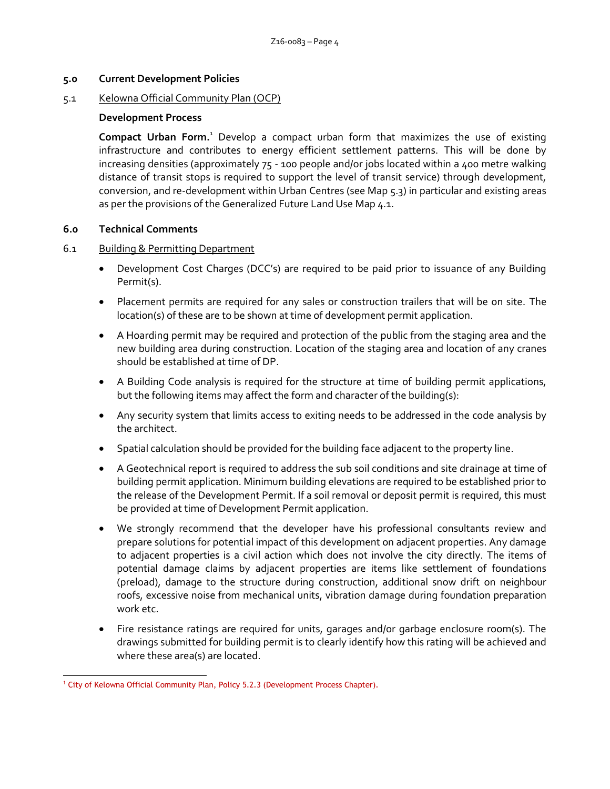#### **5.0 Current Development Policies**

#### 5.1 Kelowna Official Community Plan (OCP)

#### **Development Process**

**Compact Urban Form.**<sup>1</sup> Develop a compact urban form that maximizes the use of existing infrastructure and contributes to energy efficient settlement patterns. This will be done by increasing densities (approximately 75 - 100 people and/or jobs located within a 400 metre walking distance of transit stops is required to support the level of transit service) through development, conversion, and re-development within Urban Centres (see Map 5.3) in particular and existing areas as per the provisions of the Generalized Future Land Use Map 4.1.

#### **6.0 Technical Comments**

#### 6.1 Building & Permitting Department

- Development Cost Charges (DCC's) are required to be paid prior to issuance of any Building Permit(s).
- Placement permits are required for any sales or construction trailers that will be on site. The location(s) of these are to be shown at time of development permit application.
- A Hoarding permit may be required and protection of the public from the staging area and the new building area during construction. Location of the staging area and location of any cranes should be established at time of DP.
- A Building Code analysis is required for the structure at time of building permit applications, but the following items may affect the form and character of the building(s):
- Any security system that limits access to exiting needs to be addressed in the code analysis by the architect.
- Spatial calculation should be provided for the building face adjacent to the property line.
- A Geotechnical report is required to address the sub soil conditions and site drainage at time of building permit application. Minimum building elevations are required to be established prior to the release of the Development Permit. If a soil removal or deposit permit is required, this must be provided at time of Development Permit application.
- We strongly recommend that the developer have his professional consultants review and prepare solutions for potential impact of this development on adjacent properties. Any damage to adjacent properties is a civil action which does not involve the city directly. The items of potential damage claims by adjacent properties are items like settlement of foundations (preload), damage to the structure during construction, additional snow drift on neighbour roofs, excessive noise from mechanical units, vibration damage during foundation preparation work etc.
- Fire resistance ratings are required for units, garages and/or garbage enclosure room(s). The drawings submitted for building permit is to clearly identify how this rating will be achieved and where these area(s) are located.

<sup>-</sup><sup>1</sup> City of Kelowna Official Community Plan, Policy 5.2.3 (Development Process Chapter).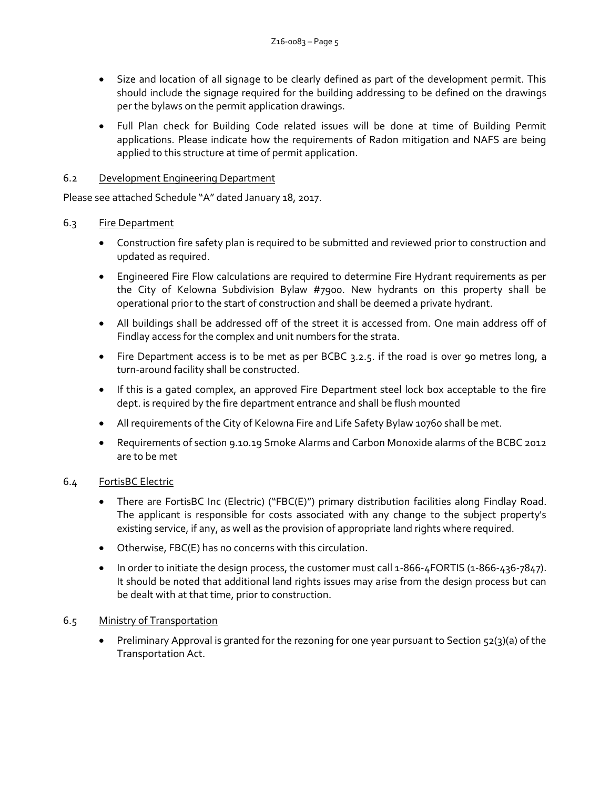- Size and location of all signage to be clearly defined as part of the development permit. This should include the signage required for the building addressing to be defined on the drawings per the bylaws on the permit application drawings.
- Full Plan check for Building Code related issues will be done at time of Building Permit applications. Please indicate how the requirements of Radon mitigation and NAFS are being applied to this structure at time of permit application.

# 6.2 Development Engineering Department

Please see attached Schedule "A" dated January 18, 2017.

#### 6.3 Fire Department

- Construction fire safety plan is required to be submitted and reviewed prior to construction and updated as required.
- Engineered Fire Flow calculations are required to determine Fire Hydrant requirements as per the City of Kelowna Subdivision Bylaw #7900. New hydrants on this property shall be operational prior to the start of construction and shall be deemed a private hydrant.
- All buildings shall be addressed off of the street it is accessed from. One main address off of Findlay access for the complex and unit numbers for the strata.
- Fire Department access is to be met as per BCBC 3.2.5. if the road is over 90 metres long, a turn-around facility shall be constructed.
- If this is a gated complex, an approved Fire Department steel lock box acceptable to the fire dept. is required by the fire department entrance and shall be flush mounted
- All requirements of the City of Kelowna Fire and Life Safety Bylaw 10760 shall be met.
- Requirements of section 9.10.19 Smoke Alarms and Carbon Monoxide alarms of the BCBC 2012 are to be met

# 6.4 FortisBC Electric

- There are FortisBC Inc (Electric) ("FBC(E)") primary distribution facilities along Findlay Road. The applicant is responsible for costs associated with any change to the subject property's existing service, if any, as well as the provision of appropriate land rights where required.
- Otherwise, FBC(E) has no concerns with this circulation.
- In order to initiate the design process, the customer must call 1-866-4FORTIS (1-866-436-7847). It should be noted that additional land rights issues may arise from the design process but can be dealt with at that time, prior to construction.

# 6.5 Ministry of Transportation

 Preliminary Approval is granted for the rezoning for one year pursuant to Section 52(3)(a) of the Transportation Act.